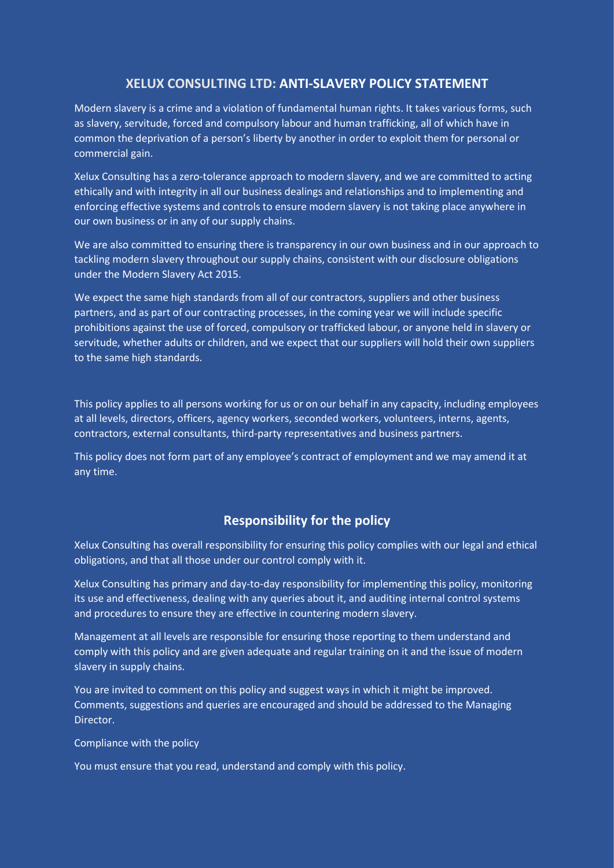## **XELUX CONSULTING LTD: ANTI-SLAVERY POLICY STATEMENT**

Modern slavery is a crime and a violation of fundamental human rights. It takes various forms, such as slavery, servitude, forced and compulsory labour and human trafficking, all of which have in common the deprivation of a person's liberty by another in order to exploit them for personal or commercial gain.

Xelux Consulting has a zero-tolerance approach to modern slavery, and we are committed to acting ethically and with integrity in all our business dealings and relationships and to implementing and enforcing effective systems and controls to ensure modern slavery is not taking place anywhere in our own business or in any of our supply chains.

We are also committed to ensuring there is transparency in our own business and in our approach to tackling modern slavery throughout our supply chains, consistent with our disclosure obligations under the Modern Slavery Act 2015.

We expect the same high standards from all of our contractors, suppliers and other business partners, and as part of our contracting processes, in the coming year we will include specific prohibitions against the use of forced, compulsory or trafficked labour, or anyone held in slavery or servitude, whether adults or children, and we expect that our suppliers will hold their own suppliers to the same high standards.

This policy applies to all persons working for us or on our behalf in any capacity, including employees at all levels, directors, officers, agency workers, seconded workers, volunteers, interns, agents, contractors, external consultants, third-party representatives and business partners.

This policy does not form part of any employee's contract of employment and we may amend it at any time.

## **Responsibility for the policy**

Xelux Consulting has overall responsibility for ensuring this policy complies with our legal and ethical obligations, and that all those under our control comply with it.

Xelux Consulting has primary and day-to-day responsibility for implementing this policy, monitoring its use and effectiveness, dealing with any queries about it, and auditing internal control systems and procedures to ensure they are effective in countering modern slavery.

Management at all levels are responsible for ensuring those reporting to them understand and comply with this policy and are given adequate and regular training on it and the issue of modern slavery in supply chains.

You are invited to comment on this policy and suggest ways in which it might be improved. Comments, suggestions and queries are encouraged and should be addressed to the Managing Director.

Compliance with the policy

You must ensure that you read, understand and comply with this policy.